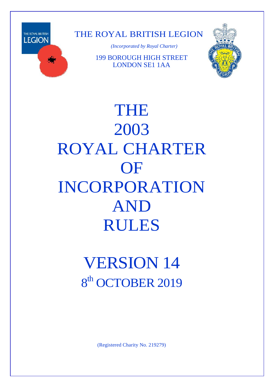

THE ROYAL BRITISH LEGION

*(Incorporated by Royal Charter)*

199 BOROUGH HIGH STREET LONDON SE1 1AA



THE 2003 ROYAL CHARTER **OF** INCORPORATION AND RULES

# VERSION 14 8<sup>th</sup> OCTOBER 2019

(Registered Charity No. 219279)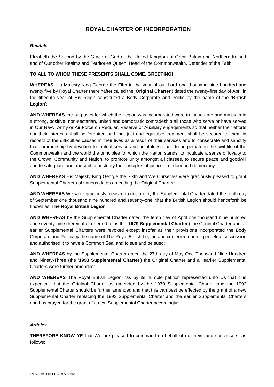# **ROYAL CHARTER OF INCORPORATION**

# *Recitals*

Elizabeth the Second by the Grace of God of the United Kingdom of Great Britain and Northern Ireland and of Our other Realms and Territories Queen, Head of the Commonwealth, Defender of the Faith.

# **TO ALL TO WHOM THESE PRESENTS SHALL COME, GREETING!**

**WHEREAS** His Majesty King George the Fifth in the year of our Lord one thousand nine hundred and twenty five by Royal Charter (hereinafter called the '**Original Charter**') dated the twenty-first day of April in the fifteenth year of His Reign constituted a Body Corporate and Politic by the name of the '**British Legion**':

**AND WHEREAS** the purposes for which the Legion was incorporated were to inaugurate and maintain in a strong, positive, non-sectarian, united and democratic comradeship all those who serve or have served in Our Navy, Army or Air Force on Regular, Reserve or Auxiliary engagements so that neither their efforts nor their interests shall be forgotten and that just and equitable treatment shall be secured to them in respect of the difficulties caused in their lives as a result of their services and to consecrate and sanctify that comradeship by devotion to mutual service and helpfulness; and to perpetuate in the civil life of the Commonwealth and the world the principles for which the Nation stands, to inculcate a sense of loyalty to the Crown, Community and Nation, to promote unity amongst all classes, to secure peace and goodwill and to safeguard and transmit to posterity the principles of justice, freedom and democracy:

**AND WHEREAS** His Majesty King George the Sixth and We Ourselves were graciously pleased to grant Supplemental Charters of various dates amending the Original Charter:

**AND WHEREAS** We were graciously pleased to declare by the Supplemental Charter dated the tenth day of September one thousand nine hundred and seventy-one, that the British Legion should henceforth be known as '**The Royal British Legion**':

**AND WHEREAS** by the Supplemental Charter dated the tenth day of April one thousand nine hundred and seventy-nine (hereinafter referred to as the '**1979 Supplemental Charter**') the Original Charter and all earlier Supplemental Charters were revoked except insofar as their provisions incorporated the Body Corporate and Politic by the name of The Royal British Legion and conferred upon it perpetual succession and authorised it to have a Common Seal and to sue and be sued:

**AND WHEREAS** by the Supplemental Charter dated the 27th day of May One Thousand Nine Hundred and Ninety-Three (the '**1993 Supplemental Charter**') the Original Charter and all earlier Supplemental Charters were further amended:

**AND WHEREAS** The Royal British Legion has by its humble petition represented unto Us that it is expedient that the Original Charter as amended by the 1979 Supplemental Charter and the 1993 Supplemental Charter should be further amended and that this can best be effected by the grant of a new Supplemental Charter replacing the 1993 Supplemental Charter and the earlier Supplemental Charters and has prayed for the grant of a new Supplemental Charter accordingly:

# *Articles*

**THEREFORE KNOW YE** that We are pleased to command on behalf of our heirs and successors, as follows: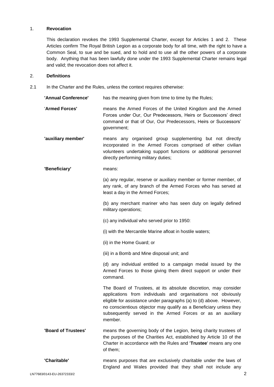# 1. **Revocation**

This declaration revokes the 1993 Supplemental Charter, except for Articles 1 and 2. These Articles confirm The Royal British Legion as a corporate body for all time, with the right to have a Common Seal, to sue and be sued, and to hold and to use all the other powers of a corporate body. Anything that has been lawfully done under the 1993 Supplemental Charter remains legal and valid; the revocation does not affect it.

# 2. **Definitions**

2.1 In the Charter and the Rules, unless the context requires otherwise:

| 'Annual Conference' | has the meaning given from time to time by the Rules;                                                                                                                                                                                                                                                                                                  |
|---------------------|--------------------------------------------------------------------------------------------------------------------------------------------------------------------------------------------------------------------------------------------------------------------------------------------------------------------------------------------------------|
| 'Armed Forces'      | means the Armed Forces of the United Kingdom and the Armed<br>Forces under Our, Our Predecessors, Heirs or Successors' direct<br>command or that of Our, Our Predecessors, Heirs or Successors'<br>government;                                                                                                                                         |
| 'auxiliary member'  | means any organised group supplementing but not directly<br>incorporated in the Armed Forces comprised of either civilian<br>volunteers undertaking support functions or additional personnel<br>directly performing military duties;                                                                                                                  |
| 'Beneficiary'       | means:                                                                                                                                                                                                                                                                                                                                                 |
|                     | (a) any regular, reserve or auxiliary member or former member, of<br>any rank, of any branch of the Armed Forces who has served at<br>least a day in the Armed Forces;                                                                                                                                                                                 |
|                     | (b) any merchant mariner who has seen duty on legally defined<br>military operations;                                                                                                                                                                                                                                                                  |
|                     | (c) any individual who served prior to 1950:                                                                                                                                                                                                                                                                                                           |
|                     | (i) with the Mercantile Marine afloat in hostile waters;                                                                                                                                                                                                                                                                                               |
|                     | (ii) in the Home Guard; or                                                                                                                                                                                                                                                                                                                             |
|                     | (iii) in a Bomb and Mine disposal unit; and                                                                                                                                                                                                                                                                                                            |
|                     | (d) any individual entitled to a campaign medal issued by the<br>Armed Forces to those giving them direct support or under their<br>command.                                                                                                                                                                                                           |
|                     | The Board of Trustees, at its absolute discretion, may consider<br>applications from individuals and organisations not obviously<br>eligible for assistance under paragraphs (a) to (d) above. However,<br>no conscientious objector may qualify as a Beneficiary unless they<br>subsequently served in the Armed Forces or as an auxiliary<br>member. |
| 'Board of Trustees' | means the governing body of the Legion, being charity trustees of<br>the purposes of the Charities Act, established by Article 10 of the<br>Charter in accordance with the Rules and 'Trustee' means any one<br>of them;                                                                                                                               |
| 'Charitable'        | means purposes that are exclusively charitable under the laws of<br>England and Wales provided that they shall not include any                                                                                                                                                                                                                         |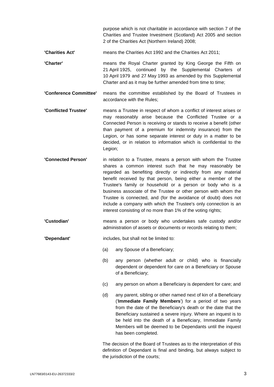purpose which is not charitable in accordance with section 7 of the Charities and Trustee Investment (Scotland) Act 2005 and section 2 of the Charities Act (Northern Ireland) 2008;

- **'Charities Act'** means the Charities Act 1992 and the Charities Act 2011;
- **'Charter'** means the Royal Charter granted by King George the Fifth on 21 April 1925, continued by the Supplemental Charters of 10 April 1979 and 27 May 1993 as amended by this Supplemental Charter and as it may be further amended from time to time;
- **'Conference Committee'** means the committee established by the Board of Trustees in accordance with the Rules;
- **'Conflicted Trustee'** means a Trustee in respect of whom a conflict of interest arises or may reasonably arise because the Conflicted Trustee or a Connected Person is receiving or stands to receive a benefit (other than payment of a premium for indemnity insurance) from the Legion, or has some separate interest or duty in a matter to be decided, or in relation to information which is confidential to the Legion;
- **'Connected Person'** in relation to a Trustee, means a person with whom the Trustee shares a common interest such that he may reasonably be regarded as benefiting directly or indirectly from any material benefit received by that person, being either a member of the Trustee's family or household or a person or body who is a business associate of the Trustee or other person with whom the Trustee is connected, and (for the avoidance of doubt) does not include a company with which the Trustee's only connection is an interest consisting of no more than 1% of the voting rights;
- **'Custodian'** means a person or body who undertakes safe custody and/or administration of assets or documents or records relating to them;
- **'Dependant'** includes, but shall not be limited to:
	- (a) any Spouse of a Beneficiary;
	- (b) any person (whether adult or child) who is financially dependent or dependent for care on a Beneficiary or Spouse of a Beneficiary;
	- (c) any person on whom a Beneficiary is dependent for care; and
	- (d) any parent, sibling or other named next of kin of a Beneficiary ('**Immediate Family Members**') for a period of two years from the date of the Beneficiary's death or the date that the Beneficiary sustained a severe injury. Where an inquest is to be held into the death of a Beneficiary, Immediate Family Members will be deemed to be Dependants until the inquest has been completed.

The decision of the Board of Trustees as to the interpretation of this definition of Dependant is final and binding, but always subject to the jurisdiction of the courts;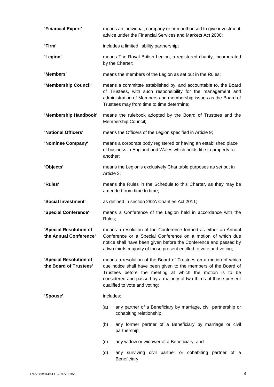| 'Financial Expert'                               | means an individual, company or firm authorised to give investment<br>advice under the Financial Services and Markets Act 2000;                                                                                                                                                                        |                                                                                                                                        |  |
|--------------------------------------------------|--------------------------------------------------------------------------------------------------------------------------------------------------------------------------------------------------------------------------------------------------------------------------------------------------------|----------------------------------------------------------------------------------------------------------------------------------------|--|
| 'Firm'                                           | includes a limited liability partnership;                                                                                                                                                                                                                                                              |                                                                                                                                        |  |
| 'Legion'                                         | means The Royal British Legion, a registered charity, incorporated<br>by the Charter;                                                                                                                                                                                                                  |                                                                                                                                        |  |
| 'Members'                                        | means the members of the Legion as set out in the Rules;                                                                                                                                                                                                                                               |                                                                                                                                        |  |
| 'Membership Council'                             | means a committee established by, and accountable to, the Board<br>of Trustees, with such responsibility for the management and<br>administration of Members and membership issues as the Board of<br>Trustees may from time to time determine;                                                        |                                                                                                                                        |  |
| 'Membership Handbook'                            |                                                                                                                                                                                                                                                                                                        | means the rulebook adopted by the Board of Trustees and the<br>Membership Council;                                                     |  |
| 'National Officers'                              | means the Officers of the Legion specified in Article 9;                                                                                                                                                                                                                                               |                                                                                                                                        |  |
| 'Nominee Company'                                | another;                                                                                                                                                                                                                                                                                               | means a corporate body registered or having an established place<br>of business in England and Wales which holds title to property for |  |
| 'Objects'                                        | means the Legion's exclusively Charitable purposes as set out in<br>Article 3;                                                                                                                                                                                                                         |                                                                                                                                        |  |
| 'Rules'                                          | means the Rules in the Schedule to this Charter, as they may be<br>amended from time to time;                                                                                                                                                                                                          |                                                                                                                                        |  |
| 'Social Investment'                              | as defined in section 292A Charities Act 2011;                                                                                                                                                                                                                                                         |                                                                                                                                        |  |
| 'Special Conference'                             | means a Conference of the Legion held in accordance with the<br>Rules;                                                                                                                                                                                                                                 |                                                                                                                                        |  |
| 'Special Resolution of<br>the Annual Conference' | means a resolution of the Conference formed as either an Annual<br>Conference or a Special Conference on a motion of which due<br>notice shall have been given before the Conference and passed by<br>a two thirds majority of those present entitled to vote and voting;                              |                                                                                                                                        |  |
| 'Special Resolution of<br>the Board of Trustees' | means a resolution of the Board of Trustees on a motion of which<br>due notice shall have been given to the members of the Board of<br>Trustees before the meeting at which the motion is to be<br>considered and passed by a majority of two thirds of those present<br>qualified to vote and voting; |                                                                                                                                        |  |
| 'Spouse'                                         | includes:                                                                                                                                                                                                                                                                                              |                                                                                                                                        |  |
|                                                  | (a)                                                                                                                                                                                                                                                                                                    | any partner of a Beneficiary by marriage, civil partnership or<br>cohabiting relationship;                                             |  |
|                                                  | (b)                                                                                                                                                                                                                                                                                                    | any former partner of a Beneficiary by marriage or civil<br>partnership;                                                               |  |
|                                                  | (c)                                                                                                                                                                                                                                                                                                    | any widow or widower of a Beneficiary; and                                                                                             |  |
|                                                  | (d)                                                                                                                                                                                                                                                                                                    | any surviving civil partner or cohabiting partner of a<br>Beneficiary                                                                  |  |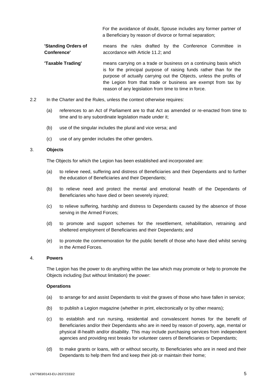For the avoidance of doubt, Spouse includes any former partner of a Beneficiary by reason of divorce or formal separation;

**'Standing Orders of Conference'** means the rules drafted by the Conference Committee in accordance with Article [11.2;](#page-9-2) and

- **'Taxable Trading'** means carrying on a trade or business on a continuing basis which is for the principal purpose of raising funds rather than for the purpose of actually carrying out the Objects, unless the profits of the Legion from that trade or business are exempt from tax by reason of any legislation from time to time in force.
- 2.2 In the Charter and the Rules, unless the context otherwise requires:
	- (a) references to an Act of Parliament are to that Act as amended or re-enacted from time to time and to any subordinate legislation made under it;
	- (b) use of the singular includes the plural and vice versa; and
	- (c) use of any gender includes the other genders.

## <span id="page-5-0"></span>3. **Objects**

The Objects for which the Legion has been established and incorporated are:

- (a) to relieve need, suffering and distress of Beneficiaries and their Dependants and to further the education of Beneficiaries and their Dependants;
- (b) to relieve need and protect the mental and emotional health of the Dependants of Beneficiaries who have died or been severely injured;
- (c) to relieve suffering, hardship and distress to Dependants caused by the absence of those serving in the Armed Forces;
- (d) to promote and support schemes for the resettlement, rehabilitation, retraining and sheltered employment of Beneficiaries and their Dependants; and
- (e) to promote the commemoration for the public benefit of those who have died whilst serving in the Armed Forces.

#### 4. **Powers**

The Legion has the power to do anything within the law which may promote or help to promote the Objects including (but without limitation) the power:

## **Operations**

- (a) to arrange for and assist Dependants to visit the graves of those who have fallen in service;
- (b) to publish a Legion magazine (whether in print, electronically or by other means);
- (c) to establish and run nursing, residential and convalescent homes for the benefit of Beneficiaries and/or their Dependants who are in need by reason of poverty, age, mental or physical ill-health and/or disability. This may include purchasing services from independent agencies and providing rest breaks for volunteer carers of Beneficiaries or Dependants;
- (d) to make grants or loans, with or without security, to Beneficiaries who are in need and their Dependants to help them find and keep their job or maintain their home;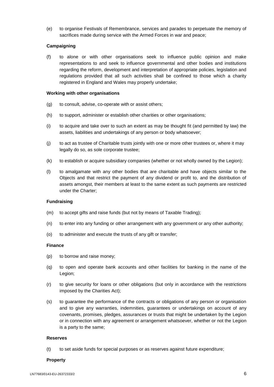(e) to organise Festivals of Remembrance, services and parades to perpetuate the memory of sacrifices made during service with the Armed Forces in war and peace;

# **Campaigning**

(f) to alone or with other organisations seek to influence public opinion and make representations to and seek to influence governmental and other bodies and institutions regarding the reform, development and interpretation of appropriate policies, legislation and regulations provided that all such activities shall be confined to those which a charity registered in England and Wales may properly undertake;

## **Working with other organisations**

- (g) to consult, advise, co-operate with or assist others;
- (h) to support, administer or establish other charities or other organisations;
- (i) to acquire and take over to such an extent as may be thought fit (and permitted by law) the assets, liabilities and undertakings of any person or body whatsoever;
- (j) to act as trustee of Charitable trusts jointly with one or more other trustees or, where it may legally do so, as sole corporate trustee;
- (k) to establish or acquire subsidiary companies (whether or not wholly owned by the Legion);
- (l) to amalgamate with any other bodies that are charitable and have objects similar to the Objects and that restrict the payment of any dividend or profit to, and the distribution of assets amongst, their members at least to the same extent as such payments are restricted under the Charter;

## **Fundraising**

- (m) to accept gifts and raise funds (but not by means of Taxable Trading);
- (n) to enter into any funding or other arrangement with any government or any other authority;
- (o) to administer and execute the trusts of any gift or transfer;

### **Finance**

- (p) to borrow and raise money;
- (q) to open and operate bank accounts and other facilities for banking in the name of the Legion;
- (r) to give security for loans or other obligations (but only in accordance with the restrictions imposed by the Charities Act);
- (s) to guarantee the performance of the contracts or obligations of any person or organisation and to give any warranties, indemnities, guarantees or undertakings on account of any covenants, promises, pledges, assurances or trusts that might be undertaken by the Legion or in connection with any agreement or arrangement whatsoever, whether or not the Legion is a party to the same;

#### **Reserves**

(t) to set aside funds for special purposes or as reserves against future expenditure;

#### **Property**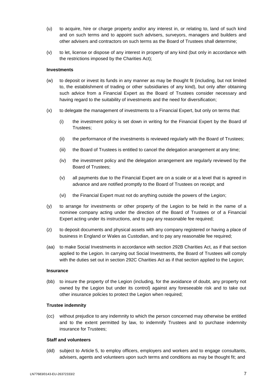- (u) to acquire, hire or charge property and/or any interest in, or relating to, land of such kind and on such terms and to appoint such advisers, surveyors, managers and builders and other advisers and contractors on such terms as the Board of Trustees shall determine;
- (v) to let, license or dispose of any interest in property of any kind (but only in accordance with the restrictions imposed by the Charities Act);

## **Investments**

- (w) to deposit or invest its funds in any manner as may be thought fit (including, but not limited to, the establishment of trading or other subsidiaries of any kind), but only after obtaining such advice from a Financial Expert as the Board of Trustees consider necessary and having regard to the suitability of investments and the need for diversification;
- (x) to delegate the management of investments to a Financial Expert, but only on terms that:
	- (i) the investment policy is set down in writing for the Financial Expert by the Board of Trustees;
	- (ii) the performance of the investments is reviewed regularly with the Board of Trustees;
	- (iii) the Board of Trustees is entitled to cancel the delegation arrangement at any time;
	- (iv) the investment policy and the delegation arrangement are regularly reviewed by the Board of Trustees;
	- (v) all payments due to the Financial Expert are on a scale or at a level that is agreed in advance and are notified promptly to the Board of Trustees on receipt; and
	- (vi) the Financial Expert must not do anything outside the powers of the Legion;
- (y) to arrange for investments or other property of the Legion to be held in the name of a nominee company acting under the direction of the Board of Trustees or of a Financial Expert acting under its instructions, and to pay any reasonable fee required;
- (z) to deposit documents and physical assets with any company registered or having a place of business in England or Wales as Custodian, and to pay any reasonable fee required;
- (aa) to make Social Investments in accordance with section 292B Charities Act, as if that section applied to the Legion. In carrying out Social Investments, the Board of Trustees will comply with the duties set out in section 292C Charities Act as if that section applied to the Legion;

## **Insurance**

(bb) to insure the property of the Legion (including, for the avoidance of doubt, any property not owned by the Legion but under its control) against any foreseeable risk and to take out other insurance policies to protect the Legion when required;

## **Trustee indemnity**

(cc) without prejudice to any indemnity to which the person concerned may otherwise be entitled and to the extent permitted by law, to indemnify Trustees and to purchase indemnity insurance for Trustees;

# **Staff and volunteers**

(dd) subject to Article [5,](#page-8-0) to employ officers, employers and workers and to engage consultants, advisers, agents and volunteers upon such terms and conditions as may be thought fit; and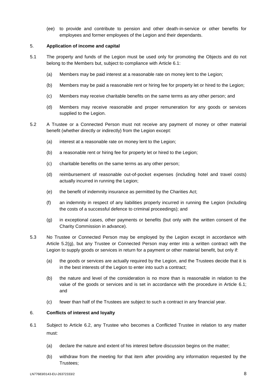(ee) to provide and contribute to pension and other death-in-service or other benefits for employees and former employees of the Legion and their dependants.

# <span id="page-8-0"></span>5. **Application of income and capital**

- 5.1 The property and funds of the Legion must be used only for promoting the Objects and do not belong to the Members but, subject to compliance with Article [6.1:](#page-8-1)
	- (a) Members may be paid interest at a reasonable rate on money lent to the Legion;
	- (b) Members may be paid a reasonable rent or hiring fee for property let or hired to the Legion;
	- (c) Members may receive charitable benefits on the same terms as any other person; and
	- (d) Members may receive reasonable and proper remuneration for any goods or services supplied to the Legion.
- 5.2 A Trustee or a Connected Person must not receive any payment of money or other material benefit (whether directly or indirectly) from the Legion except:
	- (a) interest at a reasonable rate on money lent to the Legion;
	- (b) a reasonable rent or hiring fee for property let or hired to the Legion;
	- (c) charitable benefits on the same terms as any other person;
	- (d) reimbursement of reasonable out-of-pocket expenses (including hotel and travel costs) actually incurred in running the Legion;
	- (e) the benefit of indemnity insurance as permitted by the Charities Act;
	- (f) an indemnity in respect of any liabilities properly incurred in running the Legion (including the costs of a successful defence to criminal proceedings); and
	- (g) in exceptional cases, other payments or benefits (but only with the written consent of the Charity Commission in advance).
- <span id="page-8-2"></span>5.3 No Trustee or Connected Person may be employed by the Legion except in accordance with Article [5.2\(g\),](#page-8-2) but any Trustee or Connected Person may enter into a written contract with the Legion to supply goods or services in return for a payment or other material benefit, but only if:
	- (a) the goods or services are actually required by the Legion, and the Trustees decide that it is in the best interests of the Legion to enter into such a contract;
	- (b) the nature and level of the consideration is no more than is reasonable in relation to the value of the goods or services and is set in accordance with the procedure in Article [6.1;](#page-8-1) and
	- (c) fewer than half of the Trustees are subject to such a contract in any financial year.

# 6. **Conflicts of interest and loyalty**

- <span id="page-8-1"></span>6.1 Subject to Article [6.2,](#page-9-3) any Trustee who becomes a Conflicted Trustee in relation to any matter must:
	- (a) declare the nature and extent of his interest before discussion begins on the matter;
	- (b) withdraw from the meeting for that item after providing any information requested by the Trustees;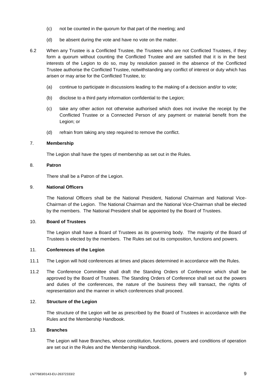- (c) not be counted in the quorum for that part of the meeting; and
- (d) be absent during the vote and have no vote on the matter.
- <span id="page-9-3"></span>6.2 When any Trustee is a Conflicted Trustee, the Trustees who are not Conflicted Trustees, if they form a quorum without counting the Conflicted Trustee and are satisfied that it is in the best interests of the Legion to do so, may by resolution passed in the absence of the Conflicted Trustee authorise the Conflicted Trustee, notwithstanding any conflict of interest or duty which has arisen or may arise for the Conflicted Trustee, to:
	- (a) continue to participate in discussions leading to the making of a decision and/or to vote;
	- (b) disclose to a third party information confidential to the Legion;
	- (c) take any other action not otherwise authorised which does not involve the receipt by the Conflicted Trustee or a Connected Person of any payment or material benefit from the Legion; or
	- (d) refrain from taking any step required to remove the conflict.

# 7. **Membership**

The Legion shall have the types of membership as set out in the Rules.

# 8. **Patron**

There shall be a Patron of the Legion.

# <span id="page-9-1"></span>9. **National Officers**

The National Officers shall be the National President, National Chairman and National Vice-Chairman of the Legion. The National Chairman and the National Vice-Chairman shall be elected by the members. The National President shall be appointed by the Board of Trustees.

## <span id="page-9-0"></span>10. **Board of Trustees**

The Legion shall have a Board of Trustees as its governing body. The majority of the Board of Trustees is elected by the members. The Rules set out its composition, functions and powers.

## 11. **Conferences of the Legion**

- 11.1 The Legion will hold conferences at times and places determined in accordance with the Rules.
- <span id="page-9-2"></span>11.2 The Conference Committee shall draft the Standing Orders of Conference which shall be approved by the Board of Trustees. The Standing Orders of Conference shall set out the powers and duties of the conferences, the nature of the business they will transact, the rights of representation and the manner in which conferences shall proceed.

# 12. **Structure of the Legion**

The structure of the Legion will be as prescribed by the Board of Trustees in accordance with the Rules and the Membership Handbook.

## 13. **Branches**

The Legion will have Branches, whose constitution, functions, powers and conditions of operation are set out in the Rules and the Membership Handbook.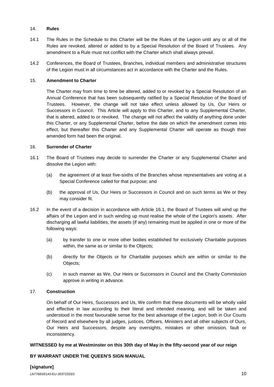# 14. **Rules**

- 14.1 The Rules in the Schedule to this Charter will be the Rules of the Legion until any or all of the Rules are revoked, altered or added to by a Special Resolution of the Board of Trustees. Any amendment to a Rule must not conflict with the Charter which shall always prevail.
- 14.2 Conferences, the Board of Trustees, Branches, individual members and administrative structures of the Legion must in all circumstances act in accordance with the Charter and the Rules.

# 15. **Amendment to Charter**

The Charter may from time to time be altered, added to or revoked by a Special Resolution of an Annual Conference that has been subsequently ratified by a Special Resolution of the Board of Trustees. However, the change will not take effect unless allowed by Us, Our Heirs or Successors in Council. This Article will apply to this Charter, and to any Supplemental Charter, that is altered, added to or revoked. The change will not affect the validity of anything done under this Charter, or any Supplemental Charter, before the date on which the amendment comes into effect, but thereafter this Charter and any Supplemental Charter will operate as though their amended form had been the original.

# 16. **Surrender of Charter**

- <span id="page-10-0"></span>16.1 The Board of Trustees may decide to surrender the Charter or any Supplemental Charter and dissolve the Legion with:
	- (a) the agreement of at least five-sixths of the Branches whose representatives are voting at a Special Conference called for that purpose; and
	- (b) the approval of Us, Our Heirs or Successors in Council and on such terms as We or they may consider fit.
- 16.2 In the event of a decision in accordance with Article [16.1,](#page-10-0) the Board of Trustees will wind up the affairs of the Legion and in such winding up must realise the whole of the Legion's assets. After discharging all lawful liabilities, the assets (if any) remaining must be applied in one or more of the following ways:
	- (a) by transfer to one or more other bodies established for exclusively Charitable purposes within, the same as or similar to the Objects;
	- (b) directly for the Objects or for Charitable purposes which are within or similar to the Objects;
	- (c) in such manner as We, Our Heirs or Successors in Council and the Charity Commission approve in writing in advance.

# 17. **Construction**

On behalf of Our Heirs, Successors and Us, We confirm that these documents will be wholly valid and effective in law according to their literal and intended meaning, and will be taken and understood in the most favourable sense for the best advantage of the Legion, both in Our Courts of Record and elsewhere by all judges, justices, Officers, Ministers and all other subjects of Ours, Our Heirs and Successors, despite any oversights, mistakes or other omission, fault or inconsistency.

# **WITNESSED by me at Westminster on this 30th day of May in the fifty-second year of our reign**

# **BY WARRANT UNDER THE QUEEN'S SIGN MANUAL**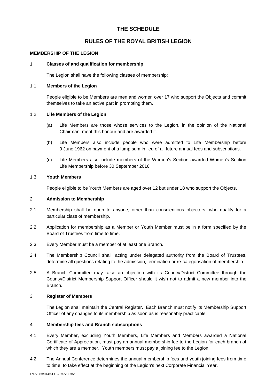# **THE SCHEDULE**

# **RULES OF THE ROYAL BRITISH LEGION**

# **MEMBERSHIP OF THE LEGION**

# 1. **Classes of and qualification for membership**

The Legion shall have the following classes of membership:

# 1.1 **Members of the Legion**

People eligible to be Members are men and women over 17 who support the Objects and commit themselves to take an active part in promoting them.

# 1.2 **Life Members of the Legion**

- (a) Life Members are those whose services to the Legion, in the opinion of the National Chairman, merit this honour and are awarded it.
- (b) Life Members also include people who were admitted to Life Membership before 9 June 1962 on payment of a lump sum in lieu of all future annual fees and subscriptions.
- (c) Life Members also include members of the Women's Section awarded Women's Section Life Membership before 30 September 2016.

# 1.3 **Youth Members**

People eligible to be Youth Members are aged over 12 but under 18 who support the Objects.

# 2. **Admission to Membership**

- 2.1 Membership shall be open to anyone, other than conscientious objectors, who qualify for a particular class of membership.
- 2.2 Application for membership as a Member or Youth Member must be in a form specified by the Board of Trustees from time to time.
- 2.3 Every Member must be a member of at least one Branch.
- 2.4 The Membership Council shall, acting under delegated authority from the Board of Trustees, determine all questions relating to the admission, termination or re-categorisation of membership.
- 2.5 A Branch Committee may raise an objection with its County/District Committee through the County/District Membership Support Officer should it wish not to admit a new member into the Branch.

# 3. **Register of Members**

The Legion shall maintain the Central Register. Each Branch must notify its Membership Support Officer of any changes to its membership as soon as is reasonably practicable.

# 4. **Membership fees and Branch subscriptions**

- 4.1 Every Member, excluding Youth Members, Life Members and Members awarded a National Certificate of Appreciation, must pay an annual membership fee to the Legion for each branch of which they are a member. Youth members must pay a joining fee to the Legion.
- 4.2 The Annual Conference determines the annual membership fees and youth joining fees from time to time, to take effect at the beginning of the Legion's next Corporate Financial Year.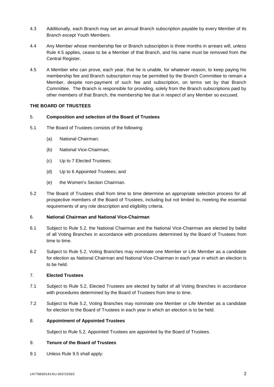- 4.3 Additionally, each Branch may set an annual Branch subscription payable by every Member of its Branch except Youth Members.
- 4.4 Any Member whose membership fee or Branch subscription is three months in arrears will, unless Rule [4.5](#page-12-0) applies, cease to be a Member of that Branch, and his name must be removed from the Central Register.
- <span id="page-12-0"></span>4.5 A Member who can prove, each year, that he is unable, for whatever reason, to keep paying his membership fee and Branch subscription may be permitted by the Branch Committee to remain a Member, despite non-payment of such fee and subscription, on terms set by that Branch Committee. The Branch is responsible for providing, solely from the Branch subscriptions paid by other members of that Branch, the membership fee due in respect of any Member so excused.

# **THE BOARD OF TRUSTEES**

# 5. **Composition and selection of the Board of Trustees**

- 5.1 The Board of Trustees consists of the following:
	- (a) National Chairman;
	- (b) National Vice-Chairman;
	- (c) Up to 7 Elected Trustees;
	- (d) Up to 6 Appointed Trustees; and
	- (e) the Women's Section Chairman.
- <span id="page-12-1"></span>5.2 The Board of Trustees shall from time to time determine an appropriate selection process for all prospective members of the Board of Trustees, including but not limited to, meeting the essential requirements of any role description and eligibility criteria.

# 6. **National Chairman and National Vice-Chairman**

- 6.1 Subject to Rule [5.2,](#page-12-1) the National Chairman and the National Vice-Chairman are elected by ballot of all Voting Branches in accordance with procedures determined by the Board of Trustees from time to time.
- 6.2 Subject to Rule [5.2,](#page-12-1) Voting Branches may nominate one Member or Life Member as a candidate for election as National Chairman and National Vice-Chairman in each year in which an election is to be held.

# 7. **Elected Trustees**

- <span id="page-12-2"></span>7.1 Subject to Rule [5.2,](#page-12-1) Elected Trustees are elected by ballot of all Voting Branches in accordance with procedures determined by the Board of Trustees from time to time.
- 7.2 Subject to Rule [5.2,](#page-12-1) Voting Branches may nominate one Member or Life Member as a candidate for election to the Board of Trustees in each year in which an election is to be held.

# 8. **Appointment of Appointed Trustees**

Subject to Rule [5.2,](#page-12-1) Appointed Trustees are appointed by the Board of Trustees.

# 9. **Tenure of the Board of Trustees**

9.1 Unless Rule [9.5](#page-13-0) shall apply: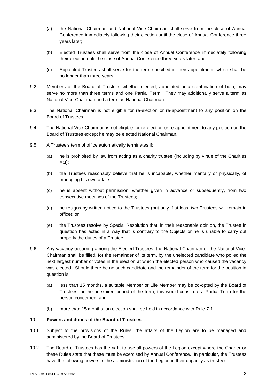- (a) the National Chairman and National Vice-Chairman shall serve from the close of Annual Conference immediately following their election until the close of Annual Conference three years later;
- (b) Elected Trustees shall serve from the close of Annual Conference immediately following their election until the close of Annual Conference three years later; and
- (c) Appointed Trustees shall serve for the term specified in their appointment, which shall be no longer than three years.
- 9.2 Members of the Board of Trustees whether elected, appointed or a combination of both, may serve no more than three terms and one Partial Term. They may additionally serve a term as National Vice-Chairman and a term as National Chairman.
- 9.3 The National Chairman is not eligible for re-election or re-appointment to any position on the Board of Trustees.
- 9.4 The National Vice-Chairman is not eligible for re-election or re-appointment to any position on the Board of Trustees except he may be elected National Chairman.
- <span id="page-13-0"></span>9.5 A Trustee's term of office automatically terminates if:
	- (a) he is prohibited by law from acting as a charity trustee (including by virtue of the Charities Act);
	- (b) the Trustees reasonably believe that he is incapable, whether mentally or physically, of managing his own affairs;
	- (c) he is absent without permission, whether given in advance or subsequently, from two consecutive meetings of the Trustees;
	- (d) he resigns by written notice to the Trustees (but only if at least two Trustees will remain in office); or
	- (e) the Trustees resolve by Special Resolution that, in their reasonable opinion, the Trustee in question has acted in a way that is contrary to the Objects or he is unable to carry out properly the duties of a Trustee.
- 9.6 Any vacancy occurring among the Elected Trustees, the National Chairman or the National Vice-Chairman shall be filled, for the remainder of its term, by the unelected candidate who polled the next largest number of votes in the election at which the elected person who caused the vacancy was elected. Should there be no such candidate and the remainder of the term for the position in question is:
	- (a) less than 15 months, a suitable Member or Life Member may be co-opted by the Board of Trustees for the unexpired period of the term; this would constitute a Partial Term for the person concerned; and
	- (b) more than 15 months, an election shall be held in accordance with Rule [7.1.](#page-12-2)

# 10. **Powers and duties of the Board of Trustees**

- 10.1 Subject to the provisions of the Rules, the affairs of the Legion are to be managed and administered by the Board of Trustees.
- 10.2 The Board of Trustees has the right to use all powers of the Legion except where the Charter or these Rules state that these must be exercised by Annual Conference. In particular, the Trustees have the following powers in the administration of the Legion in their capacity as trustees: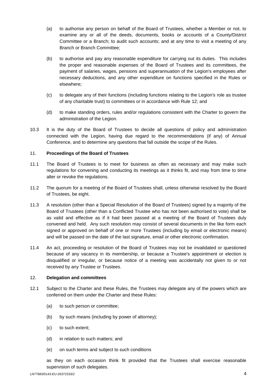- (a) to authorise any person on behalf of the Board of Trustees, whether a Member or not, to examine any or all of the deeds, documents, books or accounts of a County/District Committee or a Branch; to audit such accounts; and at any time to visit a meeting of any Branch or Branch Committee;
- (b) to authorise and pay any reasonable expenditure for carrying out its duties. This includes the proper and reasonable expenses of the Board of Trustees and its committees, the payment of salaries, wages, pensions and superannuation of the Legion's employees after necessary deductions, and any other expenditure on functions specified in the Rules or elsewhere;
- (c) to delegate any of their functions (including functions relating to the Legion's role as trustee of any charitable trust) to committees or in accordance with Rule [12;](#page-14-0) and
- (d) to make standing orders, rules and/or regulations consistent with the Charter to govern the administration of the Legion.
- 10.3 It is the duty of the Board of Trustees to decide all questions of policy and administration connected with the Legion, having due regard to the recommendations (if any) of Annual Conference, and to determine any questions that fall outside the scope of the Rules.

# 11. **Proceedings of the Board of Trustees**

- 11.1 The Board of Trustees is to meet for business as often as necessary and may make such regulations for convening and conducting its meetings as it thinks fit, and may from time to time alter or revoke the regulations.
- 11.2 The quorum for a meeting of the Board of Trustees shall, unless otherwise resolved by the Board of Trustees, be eight.
- 11.3 A resolution (other than a Special Resolution of the Board of Trustees) signed by a majority of the Board of Trustees (other than a Conflicted Trustee who has not been authorised to vote) shall be as valid and effective as if it had been passed at a meeting of the Board of Trustees duly convened and held. Any such resolution may consist of several documents in the like form each signed or approved on behalf of one or more Trustees (including by email or electronic means) and will be passed on the date of the last signature, email or other electronic confirmation.
- 11.4 An act, proceeding or resolution of the Board of Trustees may not be invalidated or questioned because of any vacancy in its membership, or because a Trustee's appointment or election is disqualified or irregular, or because notice of a meeting was accidentally not given to or not received by any Trustee or Trustees.

## <span id="page-14-0"></span>12. **Delegation and committees**

- 12.1 Subject to the Charter and these Rules, the Trustees may delegate any of the powers which are conferred on them under the Charter and these Rules:
	- (a) to such person or committee;
	- (b) by such means (including by power of attorney);
	- (c) to such extent;
	- (d) in relation to such matters; and
	- (e) on such terms and subject to such conditions

as they on each occasion think fit provided that the Trustees shall exercise reasonable supervision of such delegates.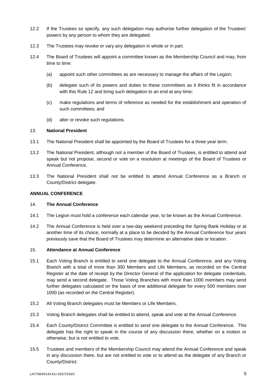- 12.2 If the Trustees so specify, any such delegation may authorise further delegation of the Trustees' powers by any person to whom they are delegated.
- 12.3 The Trustees may revoke or vary any delegation in whole or in part.
- 12.4 The Board of Trustees will appoint a committee known as the Membership Council and may, from time to time:
	- (a) appoint such other committees as are necessary to manage the affairs of the Legion;
	- (b) delegate such of its powers and duties to these committees as it thinks fit in accordance with this Rule [12](#page-14-0) and bring such delegation to an end at any time;
	- (c) make regulations and terms of reference as needed for the establishment and operation of such committees; and
	- (d) alter or revoke such regulations.

## 13. **National President**

- 13.1 The National President shall be appointed by the Board of Trustees for a three year term.
- 13.2 The National President, although not a member of the Board of Trustees, is entitled to attend and speak but not propose, second or vote on a resolution at meetings of the Board of Trustees or Annual Conference.
- 13.3 The National President shall not be entitled to attend Annual Conference as a Branch or County/District delegate.

## **ANNUAL CONFERENCE**

# <span id="page-15-0"></span>14. **The Annual Conference**

- 14.1 The Legion must hold a conference each calendar year, to be known as the Annual Conference.
- 14.2 The Annual Conference is held over a two-day weekend preceding the Spring Bank Holiday or at another time of its choice, normally at a place to be decided by the Annual Conference four years previously save that the Board of Trustees may determine an alternative date or location.

## 15. **Attendance at Annual Conference**

- 15.1 Each Voting Branch is entitled to send one delegate to the Annual Conference, and any Voting Branch with a total of more than 300 Members and Life Members, as recorded on the Central Register at the date of receipt by the Director General of the application for delegate credentials, may send a second delegate. Those Voting Branches with more than 1000 members may send further delegates calculated on the basis of one additional delegate for every 500 members over 1000 (as recorded on the Central Register).
- 15.2 All Voting Branch delegates must be Members or Life Members.
- 15.3 Voting Branch delegates shall be entitled to attend, speak and vote at the Annual Conference.
- 15.4 Each County/District Committee is entitled to send one delegate to the Annual Conference. This delegate has the right to speak in the course of any discussion there, whether on a motion or otherwise, but is not entitled to vote.
- 15.5 Trustees and members of the Membership Council may attend the Annual Conference and speak in any discussion there, but are not entitled to vote or to attend as the delegate of any Branch or County/District.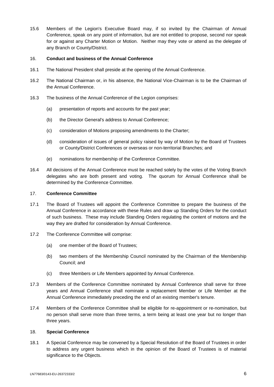15.6 Members of the Legion's Executive Board may, if so invited by the Chairman of Annual Conference, speak on any point of information, but are not entitled to propose, second nor speak for or against any Charter Motion or Motion. Neither may they vote or attend as the delegate of any Branch or County/District.

# 16. **Conduct and business of the Annual Conference**

- 16.1 The National President shall preside at the opening of the Annual Conference.
- 16.2 The National Chairman or, in his absence, the National Vice-Chairman is to be the Chairman of the Annual Conference.
- 16.3 The business of the Annual Conference of the Legion comprises:
	- (a) presentation of reports and accounts for the past year;
	- (b) the Director General's address to Annual Conference;
	- (c) consideration of Motions proposing amendments to the Charter;
	- (d) consideration of issues of general policy raised by way of Motion by the Board of Trustees or County/District Conferences or overseas or non-territorial Branches; and
	- (e) nominations for membership of the Conference Committee.
- 16.4 All decisions of the Annual Conference must be reached solely by the votes of the Voting Branch delegates who are both present and voting. The quorum for Annual Conference shall be determined by the Conference Committee.

# 17. **Conference Committee**

- 17.1 The Board of Trustees will appoint the Conference Committee to prepare the business of the Annual Conference in accordance with these Rules and draw up Standing Orders for the conduct of such business. These may include Standing Orders regulating the content of motions and the way they are drafted for consideration by Annual Conference.
- 17.2 The Conference Committee will comprise:
	- (a) one member of the Board of Trustees;
	- (b) two members of the Membership Council nominated by the Chairman of the Membership Council; and
	- (c) three Members or Life Members appointed by Annual Conference.
- 17.3 Members of the Conference Committee nominated by Annual Conference shall serve for three years and Annual Conference shall nominate a replacement Member or Life Member at the Annual Conference immediately preceding the end of an existing member's tenure.
- 17.4 Members of the Conference Committee shall be eligible for re-appointment or re-nomination, but no person shall serve more than three terms, a term being at least one year but no longer than three years.

## <span id="page-16-0"></span>18. **Special Conference**

18.1 A Special Conference may be convened by a Special Resolution of the Board of Trustees in order to address any urgent business which in the opinion of the Board of Trustees is of material significance to the Objects.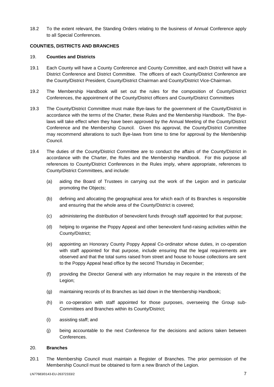18.2 To the extent relevant, the Standing Orders relating to the business of Annual Conference apply to all Special Conferences.

# **COUNTIES, DISTRICTS AND BRANCHES**

# 19. **Counties and Districts**

- 19.1 Each County will have a County Conference and County Committee, and each District will have a District Conference and District Committee. The officers of each County/District Conference are the County/District President, County/District Chairman and County/District Vice-Chairman.
- 19.2 The Membership Handbook will set out the rules for the composition of County/District Conferences, the appointment of the County/District officers and County/District Committees
- 19.3 The County/District Committee must make Bye-laws for the government of the County/District in accordance with the terms of the Charter, these Rules and the Membership Handbook. The Byelaws will take effect when they have been approved by the Annual Meeting of the County/District Conference and the Membership Council. Given this approval, the County/District Committee may recommend alterations to such Bye-laws from time to time for approval by the Membership Council.
- 19.4 The duties of the County/District Committee are to conduct the affairs of the County/District in accordance with the Charter, the Rules and the Membership Handbook. For this purpose all references to County/District Conferences in the Rules imply, where appropriate, references to County/District Committees, and include:
	- (a) aiding the Board of Trustees in carrying out the work of the Legion and in particular promoting the Objects;
	- (b) defining and allocating the geographical area for which each of its Branches is responsible and ensuring that the whole area of the County/District is covered;
	- (c) administering the distribution of benevolent funds through staff appointed for that purpose;
	- (d) helping to organise the Poppy Appeal and other benevolent fund-raising activities within the County/District;
	- (e) appointing an Honorary County Poppy Appeal Co-ordinator whose duties, in co-operation with staff appointed for that purpose, include ensuring that the legal requirements are observed and that the total sums raised from street and house to house collections are sent to the Poppy Appeal head office by the second Thursday in December;
	- (f) providing the Director General with any information he may require in the interests of the Legion;
	- (g) maintaining records of its Branches as laid down in the Membership Handbook;
	- (h) in co-operation with staff appointed for those purposes, overseeing the Group sub-Committees and Branches within its County/District;
	- (i) assisting staff; and
	- (j) being accountable to the next Conference for the decisions and actions taken between Conferences.

## 20. **Branches**

20.1 The Membership Council must maintain a Register of Branches. The prior permission of the Membership Council must be obtained to form a new Branch of the Legion.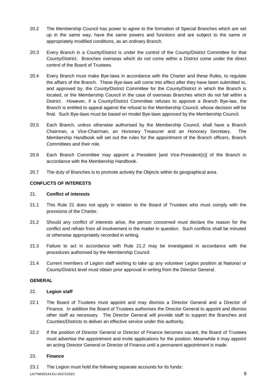- 20.2 The Membership Council has power to agree to the formation of Special Branches which are set up in the same way, have the same powers and functions and are subject to the same or appropriately modified conditions, as an ordinary Branch.
- 20.3 Every Branch in a County/District is under the control of the County/District Committee for that County/District. Branches overseas which do not come within a District come under the direct control of the Board of Trustees.
- 20.4 Every Branch must make Bye-laws in accordance with the Charter and these Rules, to regulate the affairs of the Branch. These Bye-laws will come into effect after they have been submitted to, and approved by, the County/District Committee for the County/District in which the Branch is located, or the Membership Council in the case of overseas Branches which do not fall within a District. However, if a County/District Committee refuses to approve a Branch Bye-law, the Branch is entitled to appeal against the refusal to the Membership Council, whose decision will be final. Such Bye-laws must be based on model Bye-laws approved by the Membership Council.
- 20.5 Each Branch, unless otherwise authorised by the Membership Council, shall have a Branch Chairman, a Vice-Chairman, an Honorary Treasurer and an Honorary Secretary. The Membership Handbook will set out the rules for the appointment of the Branch officers, Branch Committees and their role.
- 20.6 Each Branch Committee may appoint a President [and Vice-President(s)] of the Branch in accordance with the Membership Handbook.
- 20.7 The duty of Branches is to promote actively the Objects within its geographical area.

# **CONFLICTS OF INTERESTS**

# <span id="page-18-0"></span>21. **Conflict of interests**

- 21.1 This Rule [21](#page-18-0) does not apply in relation to the Board of Trustees who must comply with the provisions of the Charter.
- <span id="page-18-1"></span>21.2 Should any conflict of interests arise, the person concerned must declare the reason for the conflict and refrain from all involvement in the matter in question. Such conflicts shall be minuted or otherwise appropriately recorded in writing.
- 21.3 Failure to act in accordance with Rule [21.2](#page-18-1) may be investigated in accordance with the procedures authorised by the Membership Council.
- 21.4 Current members of Legion staff wishing to take up any volunteer Legion position at National or County/District level must obtain prior approval in writing from the Director General.

# **GENERAL**

## <span id="page-18-2"></span>22. **Legion staff**

- 22.1 The Board of Trustees must appoint and may dismiss a Director General and a Director of Finance. In addition the Board of Trustees authorises the Director General to appoint and dismiss other staff as necessary. The Director General will provide staff to support the Branches and Counties/Districts to deliver an effective service under this authority.
- 22.2 If the position of Director General or Director of Finance becomes vacant, the Board of Trustees must advertise the appointment and invite applications for the position. Meanwhile it may appoint an acting Director General or Director of Finance until a permanent appointment is made.

# 23. **Finance**

23.1 The Legion must hold the following separate accounts for its funds: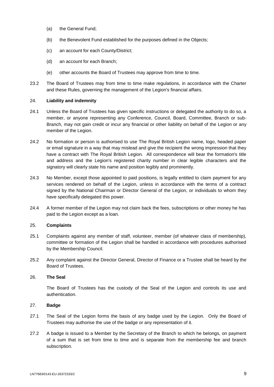- (a) the General Fund;
- (b) the Benevolent Fund established for the purposes defined in the Objects;
- (c) an account for each County/District;
- (d) an account for each Branch;
- (e) other accounts the Board of Trustees may approve from time to time.
- 23.2 The Board of Trustees may from time to time make regulations, in accordance with the Charter and these Rules, governing the management of the Legion's financial affairs.

# 24. **Liability and indemnity**

- 24.1 Unless the Board of Trustees has given specific instructions or delegated the authority to do so, a member, or anyone representing any Conference, Council, Board, Committee, Branch or sub-Branch, may not gain credit or incur any financial or other liability on behalf of the Legion or any member of the Legion.
- 24.2 No formation or person is authorised to use The Royal British Legion name, logo, headed paper or email signature in a way that may mislead and give the recipient the wrong impression that they have a contract with The Royal British Legion. All correspondence will bear the formation's title and address and the Legion's registered charity number in clear legible characters and the signatory will clearly state his name and position legibly and prominently.
- 24.3 No Member, except those appointed to paid positions, is legally entitled to claim payment for any services rendered on behalf of the Legion, unless in accordance with the terms of a contract signed by the National Chairman or Director General of the Legion, or individuals to whom they have specifically delegated this power.
- 24.4 A former member of the Legion may not claim back the fees, subscriptions or other money he has paid to the Legion except as a loan.

## 25. **Complaints**

- 25.1 Complaints against any member of staff, volunteer, member (of whatever class of membership), committee or formation of the Legion shall be handled in accordance with procedures authorised by the Membership Council.
- 25.2 Any complaint against the Director General, Director of Finance or a Trustee shall be heard by the Board of Trustees.

## 26. **The Seal**

The Board of Trustees has the custody of the Seal of the Legion and controls its use and authentication.

## 27. **Badge**

- 27.1 The Seal of the Legion forms the basis of any badge used by the Legion. Only the Board of Trustees may authorise the use of the badge or any representation of it.
- 27.2 A badge is issued to a Member by the Secretary of the Branch to which he belongs, on payment of a sum that is set from time to time and is separate from the membership fee and branch subscription.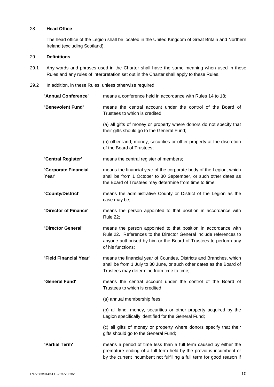# 28. **Head Office**

The head office of the Legion shall be located in the United Kingdom of Great Britain and Northern Ireland (excluding Scotland).

## 29. **Definitions**

- 29.1 Any words and phrases used in the Charter shall have the same meaning when used in these Rules and any rules of interpretation set out in the Charter shall apply to these Rules.
- 29.2 In addition, in these Rules, unless otherwise required:

| 'Annual Conference'           | means a conference held in accordance with Rules 14 to 18;                                                                                                                                                                   |
|-------------------------------|------------------------------------------------------------------------------------------------------------------------------------------------------------------------------------------------------------------------------|
| 'Benevolent Fund'             | means the central account under the control of the Board of<br>Trustees to which is credited:                                                                                                                                |
|                               | (a) all gifts of money or property where donors do not specify that<br>their gifts should go to the General Fund;                                                                                                            |
|                               | (b) other land, money, securities or other property at the discretion<br>of the Board of Trustees;                                                                                                                           |
| 'Central Register'            | means the central register of members;                                                                                                                                                                                       |
| 'Corporate Financial<br>Year' | means the financial year of the corporate body of the Legion, which<br>shall be from 1 October to 30 September, or such other dates as<br>the Board of Trustees may determine from time to time;                             |
| 'County/District'             | means the administrative County or District of the Legion as the<br>case may be;                                                                                                                                             |
| 'Director of Finance'         | means the person appointed to that position in accordance with<br><b>Rule 22;</b>                                                                                                                                            |
| 'Director General'            | means the person appointed to that position in accordance with<br>Rule 22. References to the Director General include references to<br>anyone authorised by him or the Board of Trustees to perform any<br>of his functions; |
| 'Field Financial Year'        | means the financial year of Counties, Districts and Branches, which<br>shall be from 1 July to 30 June, or such other dates as the Board of<br>Trustees may determine from time to time;                                     |
| 'General Fund'                | means the central account under the control of the Board of<br>Trustees to which is credited:                                                                                                                                |
|                               | (a) annual membership fees;                                                                                                                                                                                                  |
|                               | (b) all land, money, securities or other property acquired by the<br>Legion specifically identified for the General Fund;                                                                                                    |
|                               | (c) all gifts of money or property where donors specify that their<br>gifts should go to the General Fund;                                                                                                                   |
| 'Partial Term'                | means a period of time less than a full term caused by either the<br>premature ending of a full term held by the previous incumbent or<br>by the current incumbent not fulfilling a full term for good reason if             |